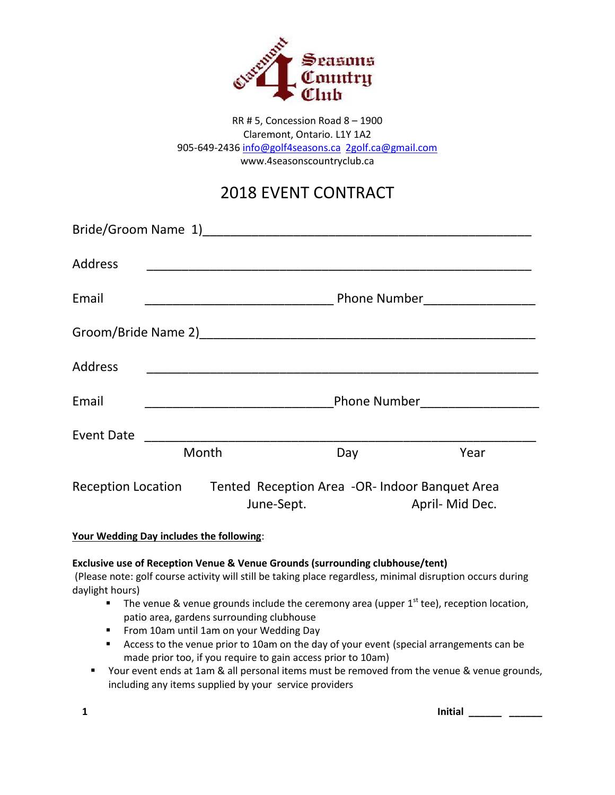

RR # 5, Concession Road 8 – 1900 Claremont, Ontario. L1Y 1A2 905-649-2436 [info@golf4seasons.ca](mailto:info@golf4seasons.ca) [2golf.ca@gmail.com](mailto:2golf.ca@gmail.com) www.4seasonscountryclub.ca

# 2018 EVENT CONTRACT

| <b>Address</b>            |                                  |                                                                                                                       |     |                            |  |  |  |
|---------------------------|----------------------------------|-----------------------------------------------------------------------------------------------------------------------|-----|----------------------------|--|--|--|
| Email                     |                                  |                                                                                                                       |     | Phone Number <u>Number</u> |  |  |  |
|                           |                                  |                                                                                                                       |     |                            |  |  |  |
| Address                   |                                  | <u> 1980 - Jan James John Stone, mars and de la provincia de la provincia de la provincia de la provincia de la p</u> |     |                            |  |  |  |
| Email                     | <b>Phone Number</b> Phone Number |                                                                                                                       |     |                            |  |  |  |
| <b>Event Date</b>         | Month                            |                                                                                                                       | Day | Year                       |  |  |  |
|                           |                                  |                                                                                                                       |     |                            |  |  |  |
| <b>Reception Location</b> |                                  | Tented Reception Area -OR- Indoor Banquet Area<br>June-Sept.                                                          |     | April- Mid Dec.            |  |  |  |

**Your Wedding Day includes the following**:

# **Exclusive use of Reception Venue & Venue Grounds (surrounding clubhouse/tent)**

(Please note: golf course activity will still be taking place regardless, minimal disruption occurs during daylight hours)

- The venue & venue grounds include the ceremony area (upper  $1<sup>st</sup>$  tee), reception location, patio area, gardens surrounding clubhouse
- **FILM** From 10am until 1am on your Wedding Day
- Access to the venue prior to 10am on the day of your event (special arrangements can be made prior too, if you require to gain access prior to 10am)
- **The State 1** Your event ends at 1am & all personal items must be removed from the venue & venue grounds, including any items supplied by your service providers

**1 Initial \_\_\_\_\_\_ \_\_\_\_\_\_**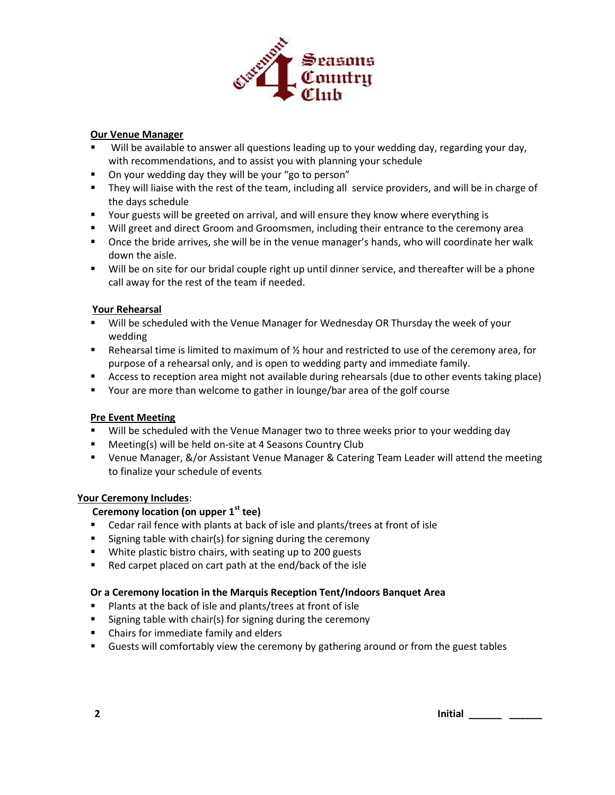

## **Our Venue Manager**

- Will be available to answer all questions leading up to your wedding day, regarding your day, with recommendations, and to assist you with planning your schedule
- On your wedding day they will be your "go to person"
- They will liaise with the rest of the team, including all service providers, and will be in charge of the days schedule
- **THE ST And Term** Your guests will be greeted on arrival, and will ensure they know where everything is
- Will greet and direct Groom and Groomsmen, including their entrance to the ceremony area
- Once the bride arrives, she will be in the venue manager's hands, who will coordinate her walk down the aisle.
- Will be on site for our bridal couple right up until dinner service, and thereafter will be a phone call away for the rest of the team if needed.

## **Your Rehearsal**

- Will be scheduled with the Venue Manager for Wednesday OR Thursday the week of your wedding
- Rehearsal time is limited to maximum of  $\frac{1}{2}$  hour and restricted to use of the ceremony area, for purpose of a rehearsal only, and is open to wedding party and immediate family.
- Access to reception area might not available during rehearsals (due to other events taking place)
- **•** Your are more than welcome to gather in lounge/bar area of the golf course

## **Pre Event Meeting**

- **Will be scheduled with the Venue Manager two to three weeks prior to your wedding day**
- **Meeting(s) will be held on-site at 4 Seasons Country Club**
- Venue Manager, &/or Assistant Venue Manager & Catering Team Leader will attend the meeting to finalize your schedule of events

## **Your Ceremony Includes**:

# **Ceremony location (on upper 1st tee)**

- Cedar rail fence with plants at back of isle and plants/trees at front of isle
- **Signing table with chair(s) for signing during the ceremony**
- **White plastic bistro chairs, with seating up to 200 guests**
- Red carpet placed on cart path at the end/back of the isle

## **Or a Ceremony location in the Marquis Reception Tent/Indoors Banquet Area**

- **Plants at the back of isle and plants/trees at front of isle**
- $\blacksquare$  Signing table with chair(s) for signing during the ceremony
- Chairs for immediate family and elders
- **EXEC** Guests will comfortably view the ceremony by gathering around or from the guest tables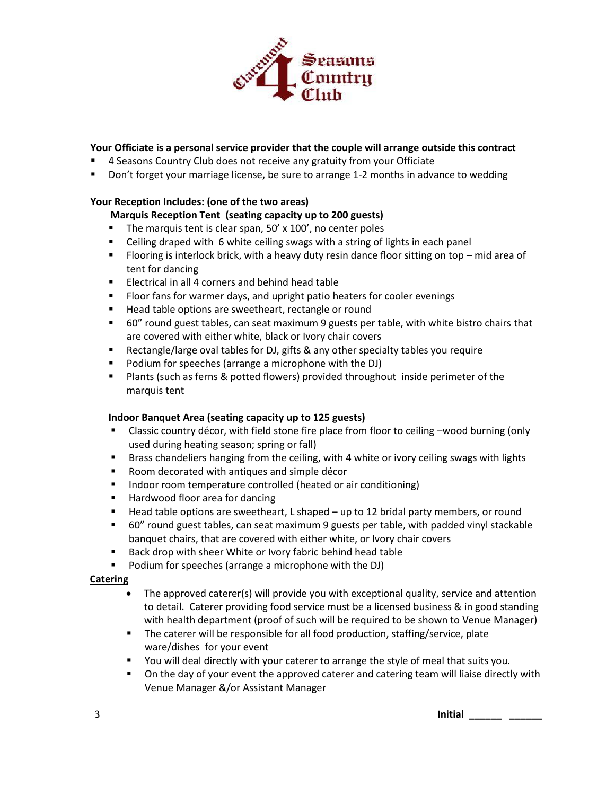

## **Your Officiate is a personal service provider that the couple will arrange outside this contract**

- 4 Seasons Country Club does not receive any gratuity from your Officiate
- Don't forget your marriage license, be sure to arrange 1-2 months in advance to wedding

## **Your Reception Includes: (one of the two areas)**

# **Marquis Reception Tent (seating capacity up to 200 guests)**

- The marquis tent is clear span, 50' x 100', no center poles
- Ceiling draped with 6 white ceiling swags with a string of lights in each panel
- Flooring is interlock brick, with a heavy duty resin dance floor sitting on top mid area of tent for dancing
- **Electrical in all 4 corners and behind head table**
- **FIGOT FALK** Floor fans for warmer days, and upright patio heaters for cooler evenings
- Head table options are sweetheart, rectangle or round
- 60" round guest tables, can seat maximum 9 guests per table, with white bistro chairs that are covered with either white, black or Ivory chair covers
- Rectangle/large oval tables for DJ, gifts & any other specialty tables you require
- **Podium for speeches (arrange a microphone with the DJ)**
- Plants (such as ferns & potted flowers) provided throughout inside perimeter of the marquis tent

## **Indoor Banquet Area (seating capacity up to 125 guests)**

- Classic country décor, with field stone fire place from floor to ceiling –wood burning (only used during heating season; spring or fall)
- Brass chandeliers hanging from the ceiling, with 4 white or ivory ceiling swags with lights
- Room decorated with antiques and simple décor
- **IFM** Indoor room temperature controlled (heated or air conditioning)
- Hardwood floor area for dancing
- Head table options are sweetheart, L shaped up to 12 bridal party members, or round
- 60" round guest tables, can seat maximum 9 guests per table, with padded vinyl stackable banquet chairs, that are covered with either white, or Ivory chair covers
- Back drop with sheer White or Ivory fabric behind head table
- **Podium for speeches (arrange a microphone with the DJ)**

## **Catering**

- The approved caterer(s) will provide you with exceptional quality, service and attention to detail. Caterer providing food service must be a licensed business & in good standing with health department (proof of such will be required to be shown to Venue Manager)
- **The caterer will be responsible for all food production, staffing/service, plate** ware/dishes for your event
- You will deal directly with your caterer to arrange the style of meal that suits you.
- On the day of your event the approved caterer and catering team will liaise directly with Venue Manager &/or Assistant Manager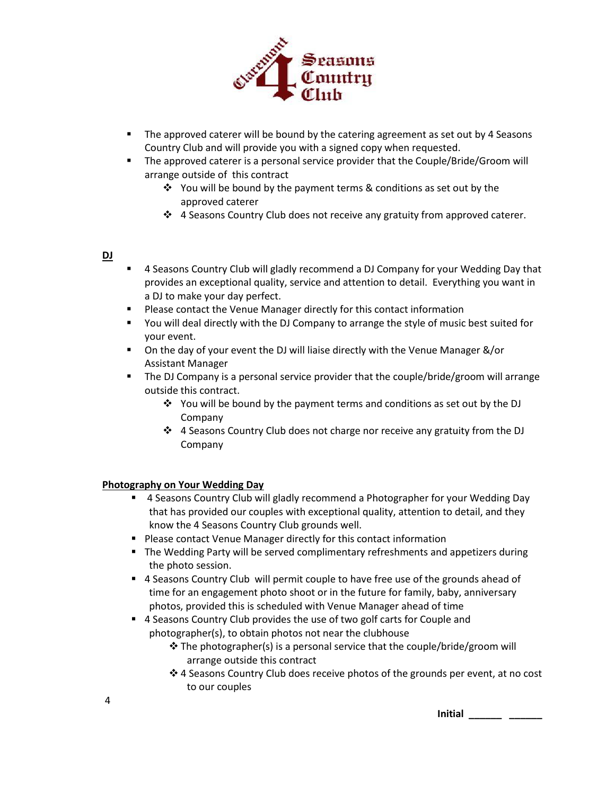

- **The approved caterer will be bound by the catering agreement as set out by 4 Seasons** Country Club and will provide you with a signed copy when requested.
- The approved caterer is a personal service provider that the Couple/Bride/Groom will arrange outside of this contract
	- $\cdot$  You will be bound by the payment terms & conditions as set out by the approved caterer
	- 4 Seasons Country Club does not receive any gratuity from approved caterer.

#### **DJ**

- **4 Seasons Country Club will gladly recommend a DJ Company for your Wedding Day that** provides an exceptional quality, service and attention to detail. Everything you want in a DJ to make your day perfect.
- **Please contact the Venue Manager directly for this contact information**
- You will deal directly with the DJ Company to arrange the style of music best suited for your event.
- On the day of your event the DJ will liaise directly with the Venue Manager &/or Assistant Manager
- The DJ Company is a personal service provider that the couple/bride/groom will arrange outside this contract.
	- $\div$  You will be bound by the payment terms and conditions as set out by the DJ Company
	- 4 Seasons Country Club does not charge nor receive any gratuity from the DJ Company

## **Photography on Your Wedding Day**

- <sup>4</sup> 4 Seasons Country Club will gladly recommend a Photographer for your Wedding Day that has provided our couples with exceptional quality, attention to detail, and they know the 4 Seasons Country Club grounds well.
- **Please contact Venue Manager directly for this contact information**
- The Wedding Party will be served complimentary refreshments and appetizers during the photo session.
- 4 Seasons Country Club will permit couple to have free use of the grounds ahead of time for an engagement photo shoot or in the future for family, baby, anniversary photos, provided this is scheduled with Venue Manager ahead of time
- 4 Seasons Country Club provides the use of two golf carts for Couple and photographer(s), to obtain photos not near the clubhouse
	- The photographer(s) is a personal service that the couple/bride/groom will arrange outside this contract
	- 4 Seasons Country Club does receive photos of the grounds per event, at no cost to our couples

**Initial** \_\_\_\_\_\_\_\_\_\_ \_\_\_\_\_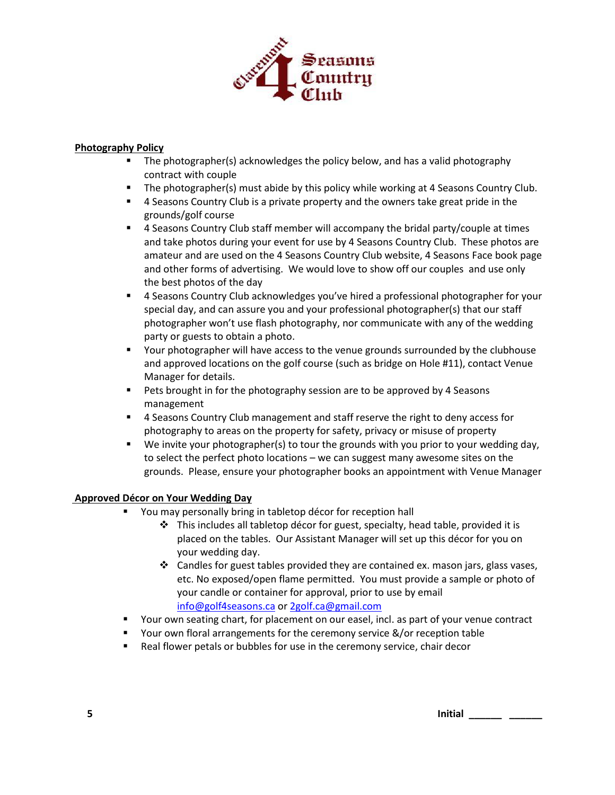

## **Photography Policy**

- **The photographer(s) acknowledges the policy below, and has a valid photography** contract with couple
- The photographer(s) must abide by this policy while working at 4 Seasons Country Club.
- 4 Seasons Country Club is a private property and the owners take great pride in the grounds/golf course
- 4 Seasons Country Club staff member will accompany the bridal party/couple at times and take photos during your event for use by 4 Seasons Country Club. These photos are amateur and are used on the 4 Seasons Country Club website, 4 Seasons Face book page and other forms of advertising. We would love to show off our couples and use only the best photos of the day
- 4 Seasons Country Club acknowledges you've hired a professional photographer for your special day, and can assure you and your professional photographer(s) that our staff photographer won't use flash photography, nor communicate with any of the wedding party or guests to obtain a photo.
- Your photographer will have access to the venue grounds surrounded by the clubhouse and approved locations on the golf course (such as bridge on Hole #11), contact Venue Manager for details.
- Pets brought in for the photography session are to be approved by 4 Seasons management
- 4 Seasons Country Club management and staff reserve the right to deny access for photography to areas on the property for safety, privacy or misuse of property
- We invite your photographer(s) to tour the grounds with you prior to your wedding day, to select the perfect photo locations – we can suggest many awesome sites on the grounds. Please, ensure your photographer books an appointment with Venue Manager

## **Approved Décor on Your Wedding Day**

- You may personally bring in tabletop décor for reception hall
	- $\cdot \cdot$  This includes all tabletop décor for guest, specialty, head table, provided it is placed on the tables. Our Assistant Manager will set up this décor for you on your wedding day.
	- $\div$  Candles for guest tables provided they are contained ex. mason jars, glass vases, etc. No exposed/open flame permitted. You must provide a sample or photo of your candle or container for approval, prior to use by email [info@golf4seasons.ca](mailto:info@golf4seasons.ca) o[r 2golf.ca@gmail.com](mailto:2golf.ca@gmail.com)
- Your own seating chart, for placement on our easel, incl. as part of your venue contract
- Your own floral arrangements for the ceremony service &/or reception table
- Real flower petals or bubbles for use in the ceremony service, chair decor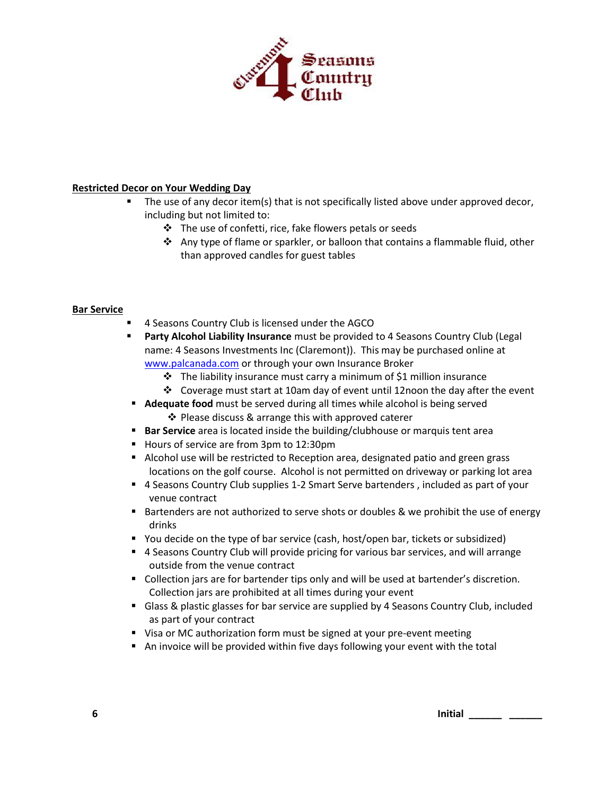

## **Restricted Decor on Your Wedding Day**

- The use of any decor item(s) that is not specifically listed above under approved decor, including but not limited to:
	- $\div$  The use of confetti, rice, fake flowers petals or seeds
	- ◆ Any type of flame or sparkler, or balloon that contains a flammable fluid, other than approved candles for guest tables

## **Bar Service**

- 4 Seasons Country Club is licensed under the AGCO
- **Party Alcohol Liability Insurance** must be provided to 4 Seasons Country Club (Legal name: 4 Seasons Investments Inc (Claremont)). This may be purchased online at [www.palcanada.com](http://www.palcanada.com/) or through your own Insurance Broker
	- $\div$  The liability insurance must carry a minimum of \$1 million insurance
	- Coverage must start at 10am day of event until 12noon the day after the event
- **Adequate food** must be served during all times while alcohol is being served ❖ Please discuss & arrange this with approved caterer
- **Bar Service** area is located inside the building/clubhouse or marquis tent area
- Hours of service are from 3pm to 12:30pm
- **Alcohol use will be restricted to Reception area, designated patio and green grass** locations on the golf course. Alcohol is not permitted on driveway or parking lot area
- 4 Seasons Country Club supplies 1-2 Smart Serve bartenders , included as part of your venue contract
- Bartenders are not authorized to serve shots or doubles & we prohibit the use of energy drinks
- You decide on the type of bar service (cash, host/open bar, tickets or subsidized)
- 4 Seasons Country Club will provide pricing for various bar services, and will arrange outside from the venue contract
- **Collection jars are for bartender tips only and will be used at bartender's discretion.** Collection jars are prohibited at all times during your event
- Glass & plastic glasses for bar service are supplied by 4 Seasons Country Club, included as part of your contract
- Visa or MC authorization form must be signed at your pre-event meeting
- An invoice will be provided within five days following your event with the total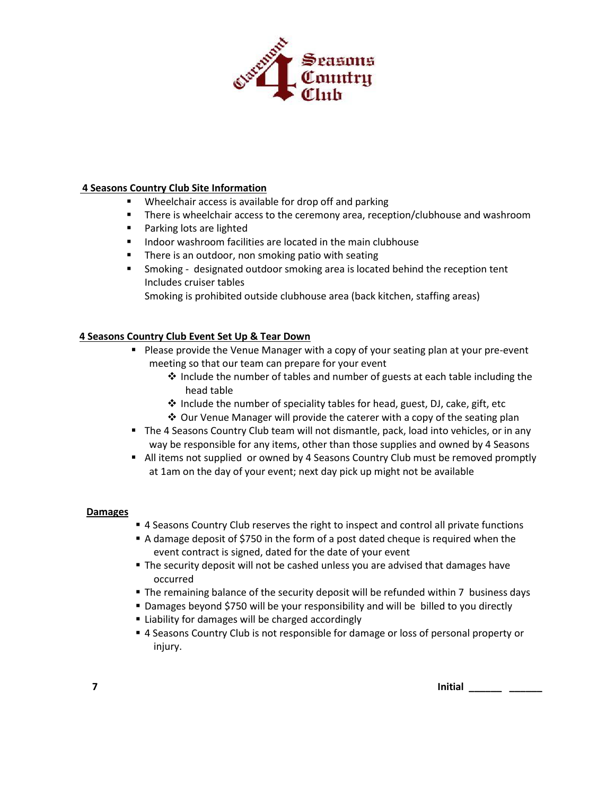

## **4 Seasons Country Club Site Information**

- Wheelchair access is available for drop off and parking
- There is wheelchair access to the ceremony area, reception/clubhouse and washroom
- **Parking lots are lighted**
- **Indoor washroom facilities are located in the main clubhouse**
- **There is an outdoor, non smoking patio with seating**
- **Smoking designated outdoor smoking area is located behind the reception tent** Includes cruiser tables Smoking is prohibited outside clubhouse area (back kitchen, staffing areas)

## **4 Seasons Country Club Event Set Up & Tear Down**

- **Please provide the Venue Manager with a copy of your seating plan at your pre-event** meeting so that our team can prepare for your event
	- $\cdot \cdot$  Include the number of tables and number of guests at each table including the head table
	- $\triangleq$  Include the number of speciality tables for head, guest, DJ, cake, gift, etc
	- Our Venue Manager will provide the caterer with a copy of the seating plan
- The 4 Seasons Country Club team will not dismantle, pack, load into vehicles, or in any way be responsible for any items, other than those supplies and owned by 4 Seasons
- All items not supplied or owned by 4 Seasons Country Club must be removed promptly at 1am on the day of your event; next day pick up might not be available

## **Damages**

- **4 Seasons Country Club reserves the right to inspect and control all private functions**
- A damage deposit of \$750 in the form of a post dated cheque is required when the event contract is signed, dated for the date of your event
- **The security deposit will not be cashed unless you are advised that damages have** occurred
- The remaining balance of the security deposit will be refunded within 7 business days
- Damages beyond \$750 will be your responsibility and will be billed to you directly
- Liability for damages will be charged accordingly
- 4 Seasons Country Club is not responsible for damage or loss of personal property or injury.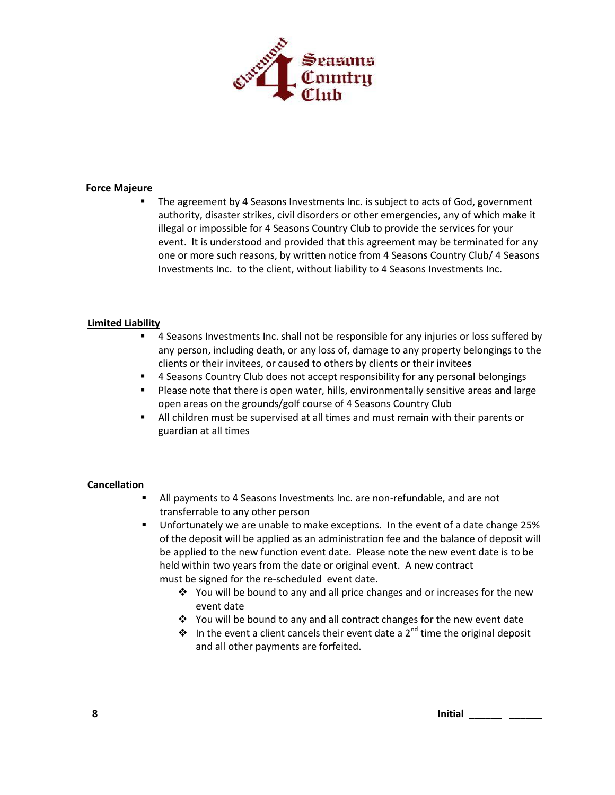

#### **Force Majeure**

 The agreement by 4 Seasons Investments Inc. is subject to acts of God, government authority, disaster strikes, civil disorders or other emergencies, any of which make it illegal or impossible for 4 Seasons Country Club to provide the services for your event. It is understood and provided that this agreement may be terminated for any one or more such reasons, by written notice from 4 Seasons Country Club/ 4 Seasons Investments Inc. to the client, without liability to 4 Seasons Investments Inc.

#### **Limited Liability**

- **4** Seasons Investments Inc. shall not be responsible for any injuries or loss suffered by any person, including death, or any loss of, damage to any property belongings to the clients or their invitees, or caused to others by clients or their invitee**s**
- **4 Seasons Country Club does not accept responsibility for any personal belongings**
- Please note that there is open water, hills, environmentally sensitive areas and large open areas on the grounds/golf course of 4 Seasons Country Club
- All children must be supervised at all times and must remain with their parents or guardian at all times

#### **Cancellation**

- All payments to 4 Seasons Investments Inc. are non-refundable, and are not transferrable to any other person
- Unfortunately we are unable to make exceptions. In the event of a date change 25% of the deposit will be applied as an administration fee and the balance of deposit will be applied to the new function event date. Please note the new event date is to be held within two years from the date or original event. A new contract must be signed for the re-scheduled event date.
	- $\cdot \cdot$  You will be bound to any and all price changes and or increases for the new event date
	- You will be bound to any and all contract changes for the new event date
	- $\cdot \cdot$  In the event a client cancels their event date a 2<sup>nd</sup> time the original deposit and all other payments are forfeited.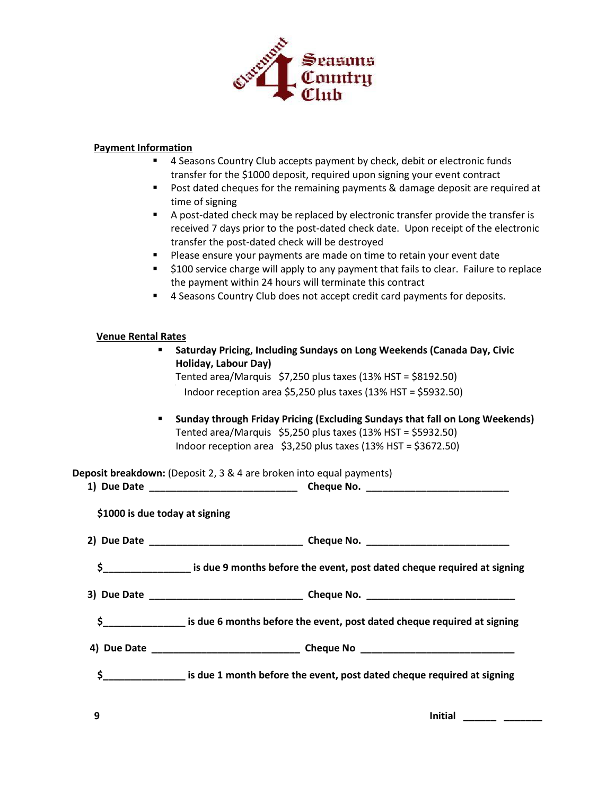

## **Payment Information**

- 4 Seasons Country Club accepts payment by check, debit or electronic funds transfer for the \$1000 deposit, required upon signing your event contract
- **Post dated cheques for the remaining payments & damage deposit are required at** time of signing
- A post-dated check may be replaced by electronic transfer provide the transfer is received 7 days prior to the post-dated check date. Upon receipt of the electronic transfer the post-dated check will be destroyed
- **Please ensure your payments are made on time to retain your event date**
- \$100 service charge will apply to any payment that fails to clear. Failure to replace the payment within 24 hours will terminate this contract
- 4 Seasons Country Club does not accept credit card payments for deposits.

#### **Venue Rental Rates**

| Saturday Pricing, Including Sundays on Long Weekends (Canada Day, Civic<br>Holiday, Labour Day) |                                                                                                |  |  |  |
|-------------------------------------------------------------------------------------------------|------------------------------------------------------------------------------------------------|--|--|--|
|                                                                                                 | Tented area/Marquis $$7,250$ plus taxes (13% HST = \$8192.50)                                  |  |  |  |
|                                                                                                 | Indoor reception area \$5,250 plus taxes (13% HST = \$5932.50)                                 |  |  |  |
| $\blacksquare$                                                                                  | Sunday through Friday Pricing (Excluding Sundays that fall on Long Weekends)                   |  |  |  |
|                                                                                                 | Tented area/Marquis $$5,250$ plus taxes (13% HST = \$5932.50)                                  |  |  |  |
|                                                                                                 | Indoor reception area \$3,250 plus taxes (13% HST = \$3672.50)                                 |  |  |  |
|                                                                                                 | Deposit breakdown: (Deposit 2, 3 & 4 are broken into equal payments)                           |  |  |  |
|                                                                                                 |                                                                                                |  |  |  |
| \$1000 is due today at signing                                                                  |                                                                                                |  |  |  |
|                                                                                                 |                                                                                                |  |  |  |
|                                                                                                 | \$____________________ is due 9 months before the event, post dated cheque required at signing |  |  |  |
|                                                                                                 |                                                                                                |  |  |  |
| \$.                                                                                             | is due 6 months before the event, post dated cheque required at signing                        |  |  |  |
|                                                                                                 |                                                                                                |  |  |  |
| $\mathsf{s}_-$                                                                                  | is due 1 month before the event, post dated cheque required at signing                         |  |  |  |
|                                                                                                 |                                                                                                |  |  |  |

**9 Initial \_\_\_\_\_\_ \_\_\_\_\_\_\_**